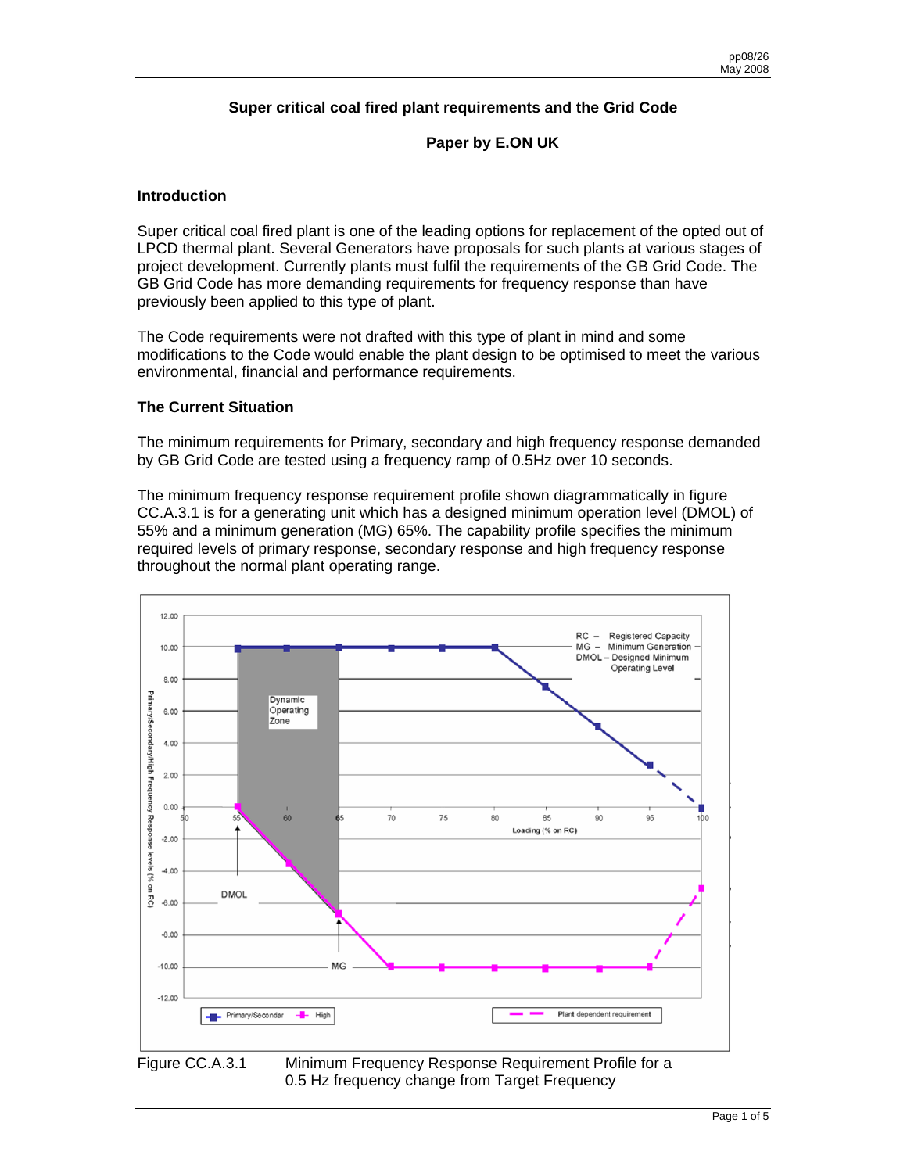### **Super critical coal fired plant requirements and the Grid Code**

# **Paper by E.ON UK**

### **Introduction**

Super critical coal fired plant is one of the leading options for replacement of the opted out of LPCD thermal plant. Several Generators have proposals for such plants at various stages of project development. Currently plants must fulfil the requirements of the GB Grid Code. The GB Grid Code has more demanding requirements for frequency response than have previously been applied to this type of plant.

The Code requirements were not drafted with this type of plant in mind and some modifications to the Code would enable the plant design to be optimised to meet the various environmental, financial and performance requirements.

#### **The Current Situation**

The minimum requirements for Primary, secondary and high frequency response demanded by GB Grid Code are tested using a frequency ramp of 0.5Hz over 10 seconds.

The minimum frequency response requirement profile shown diagrammatically in figure CC.A.3.1 is for a generating unit which has a designed minimum operation level (DMOL) of 55% and a minimum generation (MG) 65%. The capability profile specifies the minimum required levels of primary response, secondary response and high frequency response throughout the normal plant operating range.



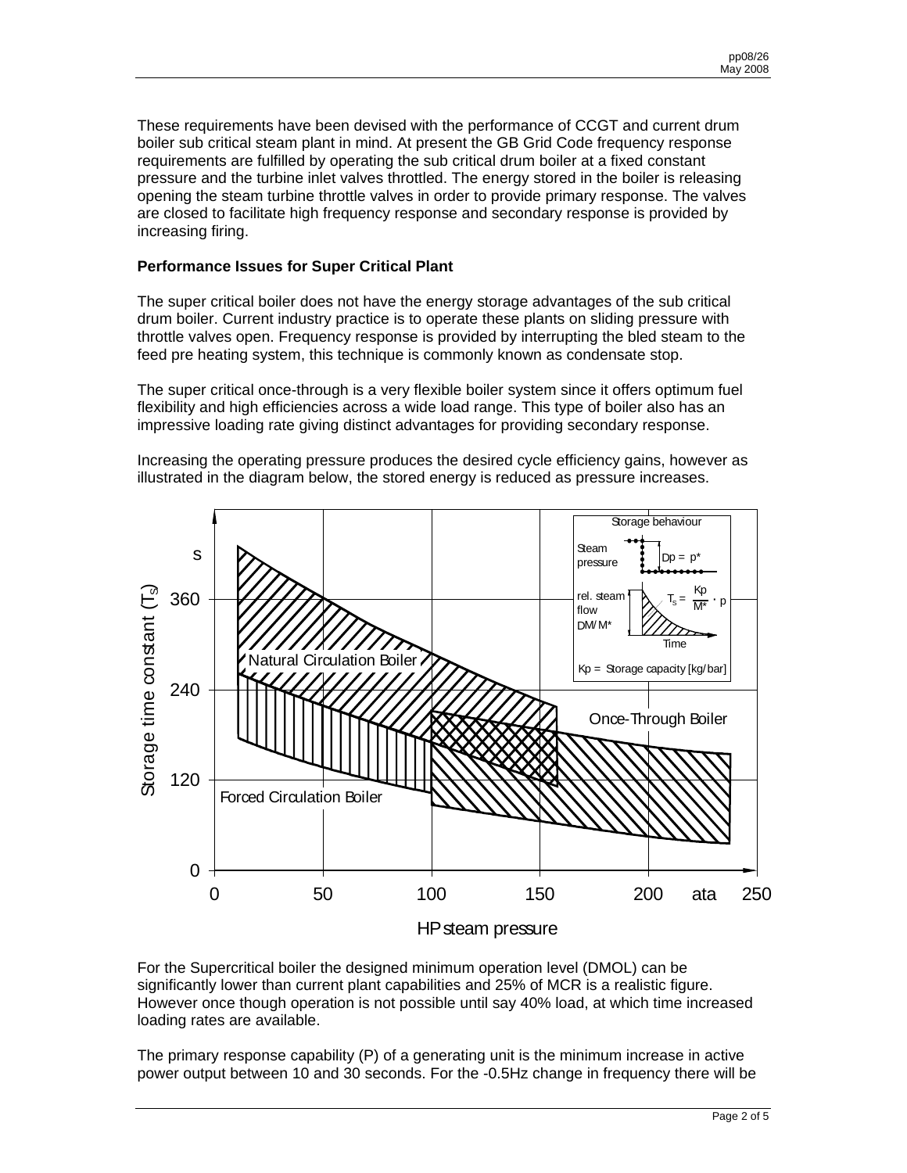These requirements have been devised with the performance of CCGT and current drum boiler sub critical steam plant in mind. At present the GB Grid Code frequency response requirements are fulfilled by operating the sub critical drum boiler at a fixed constant pressure and the turbine inlet valves throttled. The energy stored in the boiler is releasing opening the steam turbine throttle valves in order to provide primary response. The valves are closed to facilitate high frequency response and secondary response is provided by increasing firing.

# **Performance Issues for Super Critical Plant**

The super critical boiler does not have the energy storage advantages of the sub critical drum boiler. Current industry practice is to operate these plants on sliding pressure with throttle valves open. Frequency response is provided by interrupting the bled steam to the feed pre heating system, this technique is commonly known as condensate stop.

The super critical once-through is a very flexible boiler system since it offers optimum fuel flexibility and high efficiencies across a wide load range. This type of boiler also has an impressive loading rate giving distinct advantages for providing secondary response.





For the Supercritical boiler the designed minimum operation level (DMOL) can be significantly lower than current plant capabilities and 25% of MCR is a realistic figure. However once though operation is not possible until say 40% load, at which time increased loading rates are available.

The primary response capability (P) of a generating unit is the minimum increase in active power output between 10 and 30 seconds. For the -0.5Hz change in frequency there will be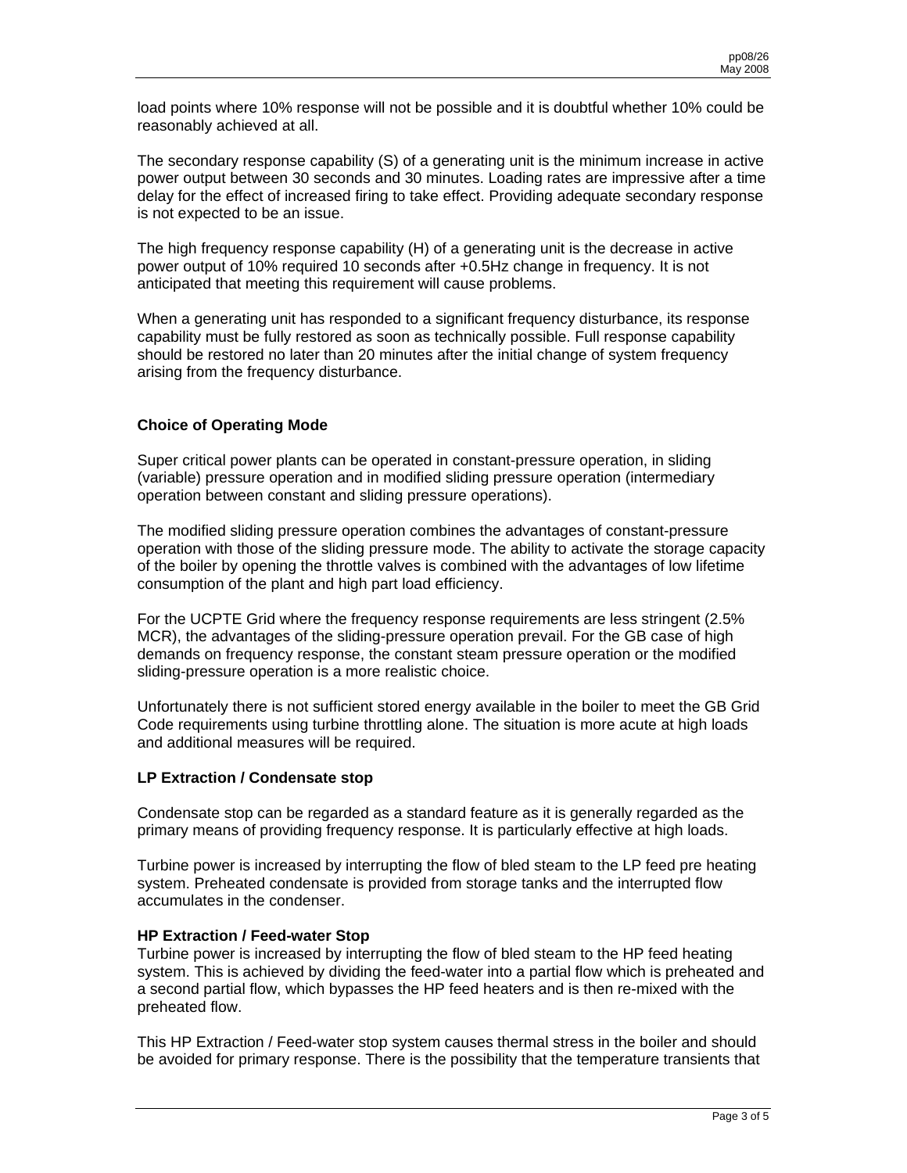load points where 10% response will not be possible and it is doubtful whether 10% could be reasonably achieved at all.

The secondary response capability (S) of a generating unit is the minimum increase in active power output between 30 seconds and 30 minutes. Loading rates are impressive after a time delay for the effect of increased firing to take effect. Providing adequate secondary response is not expected to be an issue.

The high frequency response capability (H) of a generating unit is the decrease in active power output of 10% required 10 seconds after +0.5Hz change in frequency. It is not anticipated that meeting this requirement will cause problems.

When a generating unit has responded to a significant frequency disturbance, its response capability must be fully restored as soon as technically possible. Full response capability should be restored no later than 20 minutes after the initial change of system frequency arising from the frequency disturbance.

## **Choice of Operating Mode**

Super critical power plants can be operated in constant-pressure operation, in sliding (variable) pressure operation and in modified sliding pressure operation (intermediary operation between constant and sliding pressure operations).

The modified sliding pressure operation combines the advantages of constant-pressure operation with those of the sliding pressure mode. The ability to activate the storage capacity of the boiler by opening the throttle valves is combined with the advantages of low lifetime consumption of the plant and high part load efficiency.

For the UCPTE Grid where the frequency response requirements are less stringent (2.5% MCR), the advantages of the sliding-pressure operation prevail. For the GB case of high demands on frequency response, the constant steam pressure operation or the modified sliding-pressure operation is a more realistic choice.

Unfortunately there is not sufficient stored energy available in the boiler to meet the GB Grid Code requirements using turbine throttling alone. The situation is more acute at high loads and additional measures will be required.

### **LP Extraction / Condensate stop**

Condensate stop can be regarded as a standard feature as it is generally regarded as the primary means of providing frequency response. It is particularly effective at high loads.

Turbine power is increased by interrupting the flow of bled steam to the LP feed pre heating system. Preheated condensate is provided from storage tanks and the interrupted flow accumulates in the condenser.

### **HP Extraction / Feed-water Stop**

Turbine power is increased by interrupting the flow of bled steam to the HP feed heating system. This is achieved by dividing the feed-water into a partial flow which is preheated and a second partial flow, which bypasses the HP feed heaters and is then re-mixed with the preheated flow.

This HP Extraction / Feed-water stop system causes thermal stress in the boiler and should be avoided for primary response. There is the possibility that the temperature transients that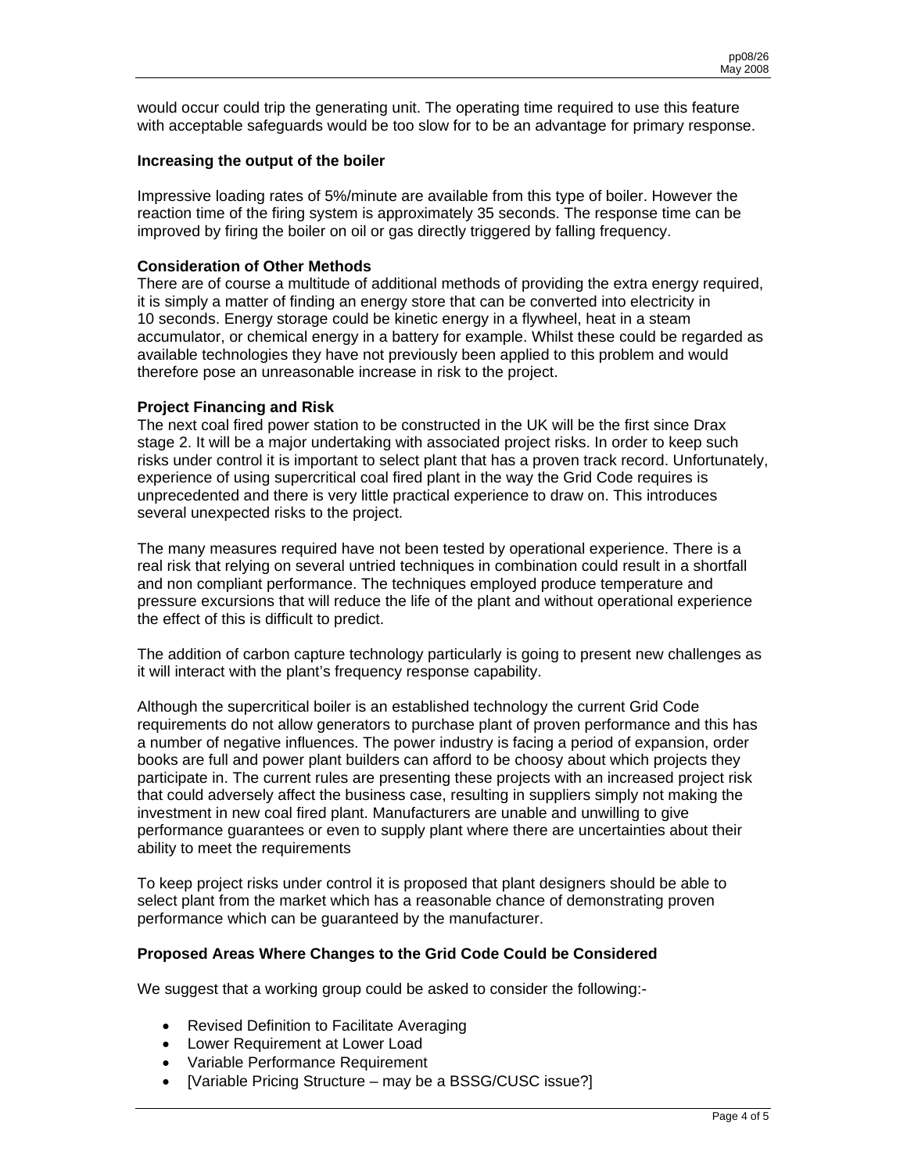would occur could trip the generating unit. The operating time required to use this feature with acceptable safeguards would be too slow for to be an advantage for primary response.

### **Increasing the output of the boiler**

Impressive loading rates of 5%/minute are available from this type of boiler. However the reaction time of the firing system is approximately 35 seconds. The response time can be improved by firing the boiler on oil or gas directly triggered by falling frequency.

#### **Consideration of Other Methods**

There are of course a multitude of additional methods of providing the extra energy required, it is simply a matter of finding an energy store that can be converted into electricity in 10 seconds. Energy storage could be kinetic energy in a flywheel, heat in a steam accumulator, or chemical energy in a battery for example. Whilst these could be regarded as available technologies they have not previously been applied to this problem and would therefore pose an unreasonable increase in risk to the project.

### **Project Financing and Risk**

The next coal fired power station to be constructed in the UK will be the first since Drax stage 2. It will be a major undertaking with associated project risks. In order to keep such risks under control it is important to select plant that has a proven track record. Unfortunately, experience of using supercritical coal fired plant in the way the Grid Code requires is unprecedented and there is very little practical experience to draw on. This introduces several unexpected risks to the project.

The many measures required have not been tested by operational experience. There is a real risk that relying on several untried techniques in combination could result in a shortfall and non compliant performance. The techniques employed produce temperature and pressure excursions that will reduce the life of the plant and without operational experience the effect of this is difficult to predict.

The addition of carbon capture technology particularly is going to present new challenges as it will interact with the plant's frequency response capability.

Although the supercritical boiler is an established technology the current Grid Code requirements do not allow generators to purchase plant of proven performance and this has a number of negative influences. The power industry is facing a period of expansion, order books are full and power plant builders can afford to be choosy about which projects they participate in. The current rules are presenting these projects with an increased project risk that could adversely affect the business case, resulting in suppliers simply not making the investment in new coal fired plant. Manufacturers are unable and unwilling to give performance guarantees or even to supply plant where there are uncertainties about their ability to meet the requirements

To keep project risks under control it is proposed that plant designers should be able to select plant from the market which has a reasonable chance of demonstrating proven performance which can be guaranteed by the manufacturer.

#### **Proposed Areas Where Changes to the Grid Code Could be Considered**

We suggest that a working group could be asked to consider the following:-

- Revised Definition to Facilitate Averaging
- Lower Requirement at Lower Load
- Variable Performance Requirement
- [Variable Pricing Structure may be a BSSG/CUSC issue?]